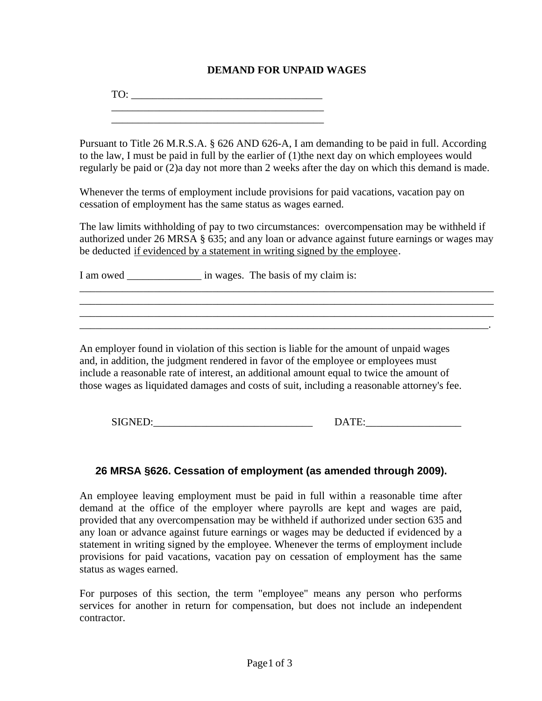## **DEMAND FOR UNPAID WAGES**

TO: \_\_\_\_\_\_\_\_\_\_\_\_\_\_\_\_\_\_\_\_\_\_\_\_\_\_\_\_\_\_\_\_\_\_\_\_

\_\_\_\_\_\_\_\_\_\_\_\_\_\_\_\_\_\_\_\_\_\_\_\_\_\_\_\_\_\_\_\_\_\_\_\_\_\_\_\_

Pursuant to Title 26 M.R.S.A. § 626 AND 626-A, I am demanding to be paid in full. According to the law, I must be paid in full by the earlier of (1)the next day on which employees would regularly be paid or (2)a day not more than 2 weeks after the day on which this demand is made.

Whenever the terms of employment include provisions for paid vacations, vacation pay on cessation of employment has the same status as wages earned.

The law limits withholding of pay to two circumstances: overcompensation may be withheld if authorized under 26 MRSA § 635; and any loan or advance against future earnings or wages may be deducted if evidenced by a statement in writing signed by the employee.

\_\_\_\_\_\_\_\_\_\_\_\_\_\_\_\_\_\_\_\_\_\_\_\_\_\_\_\_\_\_\_\_\_\_\_\_\_\_\_\_\_\_\_\_\_\_\_\_\_\_\_\_\_\_\_\_\_\_\_\_\_\_\_\_\_\_\_\_\_\_\_\_\_\_\_\_\_\_ \_\_\_\_\_\_\_\_\_\_\_\_\_\_\_\_\_\_\_\_\_\_\_\_\_\_\_\_\_\_\_\_\_\_\_\_\_\_\_\_\_\_\_\_\_\_\_\_\_\_\_\_\_\_\_\_\_\_\_\_\_\_\_\_\_\_\_\_\_\_\_\_\_\_\_\_\_\_ \_\_\_\_\_\_\_\_\_\_\_\_\_\_\_\_\_\_\_\_\_\_\_\_\_\_\_\_\_\_\_\_\_\_\_\_\_\_\_\_\_\_\_\_\_\_\_\_\_\_\_\_\_\_\_\_\_\_\_\_\_\_\_\_\_\_\_\_\_\_\_\_\_\_\_\_\_\_ \_\_\_\_\_\_\_\_\_\_\_\_\_\_\_\_\_\_\_\_\_\_\_\_\_\_\_\_\_\_\_\_\_\_\_\_\_\_\_\_\_\_\_\_\_\_\_\_\_\_\_\_\_\_\_\_\_\_\_\_\_\_\_\_\_\_\_\_\_\_\_\_\_\_\_\_\_.

I am owed \_\_\_\_\_\_\_\_\_\_\_\_\_\_ in wages. The basis of my claim is:

An employer found in violation of this section is liable for the amount of unpaid wages and, in addition, the judgment rendered in favor of the employee or employees must include a reasonable rate of interest, an additional amount equal to twice the amount of those wages as liquidated damages and costs of suit, including a reasonable attorney's fee.

SIGNED:\_\_\_\_\_\_\_\_\_\_\_\_\_\_\_\_\_\_\_\_\_\_\_\_\_\_\_\_\_\_ DATE:\_\_\_\_\_\_\_\_\_\_\_\_\_\_\_\_\_\_

## 0B**26 MRSA §626. Cessation of employment (as amended through 2009).**

An employee leaving employment must be paid in full within a reasonable time after demand at the office of the employer where payrolls are kept and wages are paid, provided that any overcompensation may be withheld if authorized under section 635 and any loan or advance against future earnings or wages may be deducted if evidenced by a statement in writing signed by the employee. Whenever the terms of employment include provisions for paid vacations, vacation pay on cessation of employment has the same status as wages earned.

For purposes of this section, the term "employee" means any person who performs services for another in return for compensation, but does not include an independent contractor.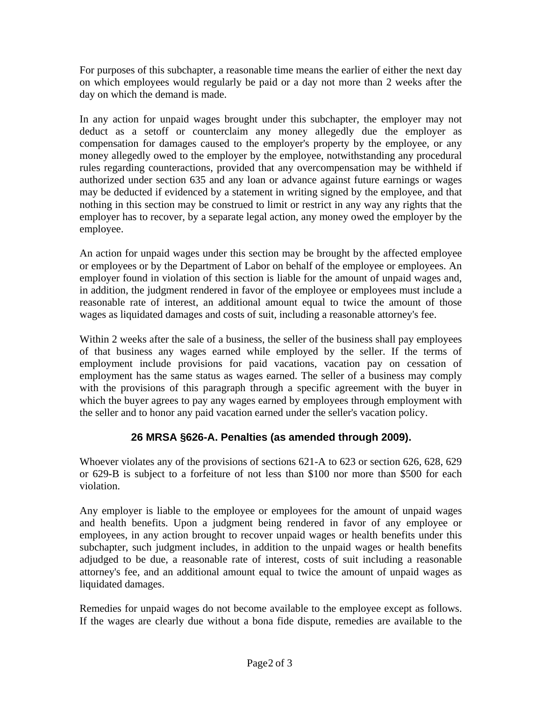For purposes of this subchapter, a reasonable time means the earlier of either the next day on which employees would regularly be paid or a day not more than 2 weeks after the day on which the demand is made.

In any action for unpaid wages brought under this subchapter, the employer may not deduct as a setoff or counterclaim any money allegedly due the employer as compensation for damages caused to the employer's property by the employee, or any money allegedly owed to the employer by the employee, notwithstanding any procedural rules regarding counteractions, provided that any overcompensation may be withheld if authorized under section 635 and any loan or advance against future earnings or wages may be deducted if evidenced by a statement in writing signed by the employee, and that nothing in this section may be construed to limit or restrict in any way any rights that the employer has to recover, by a separate legal action, any money owed the employer by the employee.

An action for unpaid wages under this section may be brought by the affected employee or employees or by the Department of Labor on behalf of the employee or employees. An employer found in violation of this section is liable for the amount of unpaid wages and, in addition, the judgment rendered in favor of the employee or employees must include a reasonable rate of interest, an additional amount equal to twice the amount of those wages as liquidated damages and costs of suit, including a reasonable attorney's fee.

Within 2 weeks after the sale of a business, the seller of the business shall pay employees of that business any wages earned while employed by the seller. If the terms of employment include provisions for paid vacations, vacation pay on cessation of employment has the same status as wages earned. The seller of a business may comply with the provisions of this paragraph through a specific agreement with the buyer in which the buyer agrees to pay any wages earned by employees through employment with the seller and to honor any paid vacation earned under the seller's vacation policy.

## 1B**26 MRSA §626-A. Penalties (as amended through 2009).**

Whoever violates any of the provisions of sections 621-A to 623 or section 626, 628, 629 or 629-B is subject to a forfeiture of not less than \$100 nor more than \$500 for each violation.

Any employer is liable to the employee or employees for the amount of unpaid wages and health benefits. Upon a judgment being rendered in favor of any employee or employees, in any action brought to recover unpaid wages or health benefits under this subchapter, such judgment includes, in addition to the unpaid wages or health benefits adjudged to be due, a reasonable rate of interest, costs of suit including a reasonable attorney's fee, and an additional amount equal to twice the amount of unpaid wages as liquidated damages.

Remedies for unpaid wages do not become available to the employee except as follows. If the wages are clearly due without a bona fide dispute, remedies are available to the